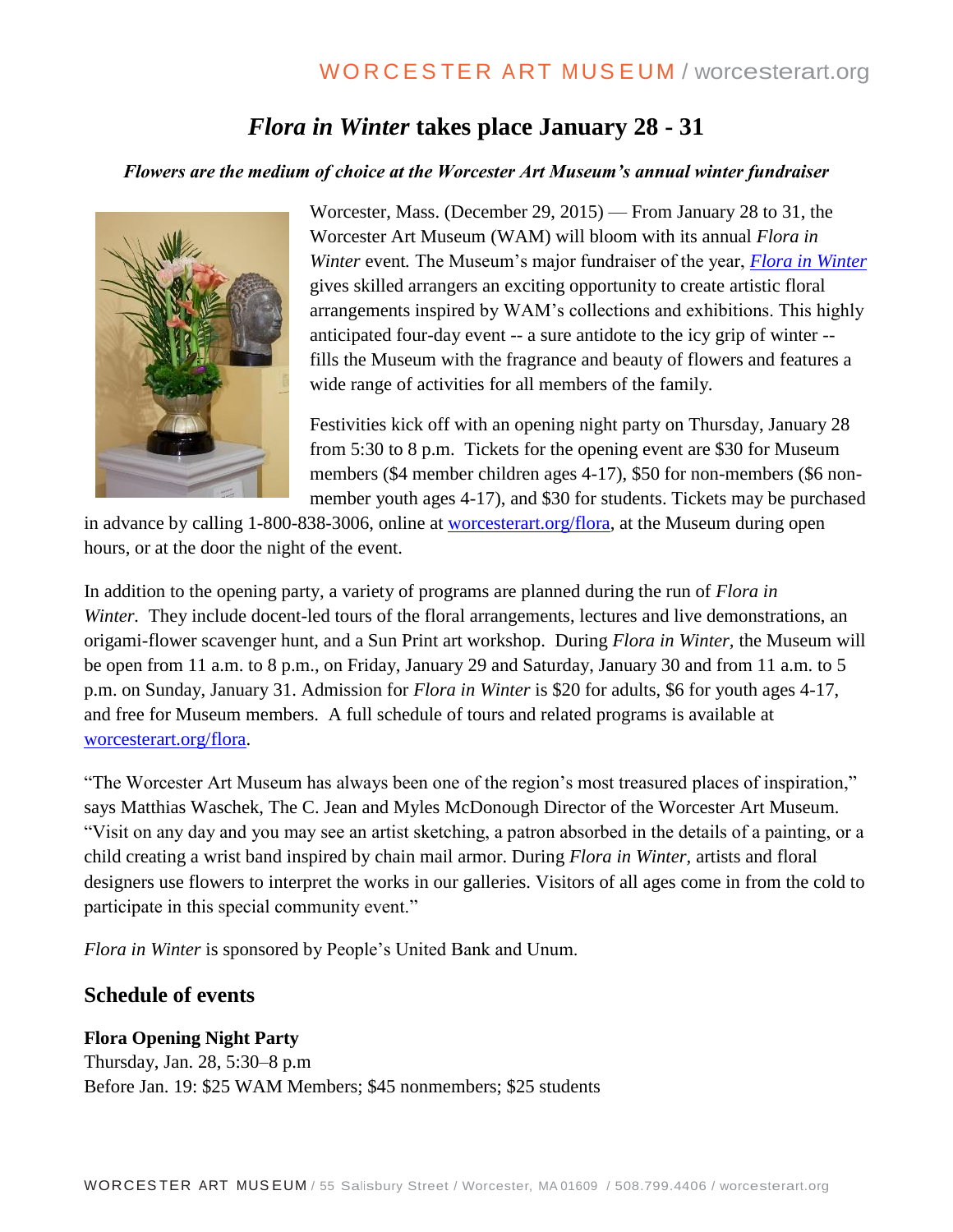# *Flora in Winter* **takes place January 28 - 31**

#### *Flowers are the medium of choice at the Worcester Art Museum's annual winter fundraiser*



Worcester, Mass. (December 29, 2015) — From January 28 to 31, the Worcester Art Museum (WAM) will bloom with its annual *Flora in Winter* event*.* The Museum's major fundraiser of the year, *[Flora in Winter](http://www.worcesterart.org/events/Flora/flora-in-winter-2016/)* gives skilled arrangers an exciting opportunity to create artistic floral arrangements inspired by WAM's collections and exhibitions. This highly anticipated four-day event -- a sure antidote to the icy grip of winter - fills the Museum with the fragrance and beauty of flowers and features a wide range of activities for all members of the family.

Festivities kick off with an opening night party on Thursday, January 28 from 5:30 to 8 p.m. Tickets for the opening event are \$30 for Museum members (\$4 member children ages 4-17), \$50 for non-members (\$6 nonmember youth ages 4-17), and \$30 for students. Tickets may be purchased

in advance by calling 1-800-838-3006, online at [worcesterart.org/flora,](http://www.worcesterart.org/events/Flora/flora-in-winter-2016/) at the Museum during open hours, or at the door the night of the event.

In addition to the opening party, a variety of programs are planned during the run of *Flora in Winter.* They include docent-led tours of the floral arrangements, lectures and live demonstrations, an origami-flower scavenger hunt, and a Sun Print art workshop. During *Flora in Winter,* the Museum will be open from 11 a.m. to 8 p.m., on Friday, January 29 and Saturday, January 30 and from 11 a.m. to 5 p.m. on Sunday, January 31. Admission for *Flora in Winter* is \$20 for adults, \$6 for youth ages 4-17, and free for Museum members. A full schedule of tours and related programs is available at [worcesterart.org/flora.](http://www.worcesterart.org/events/Flora/flora-in-winter-2016/)

"The Worcester Art Museum has always been one of the region's most treasured places of inspiration," says Matthias Waschek, The C. Jean and Myles McDonough Director of the Worcester Art Museum. "Visit on any day and you may see an artist sketching, a patron absorbed in the details of a painting, or a child creating a wrist band inspired by chain mail armor. During *Flora in Winter,* artists and floral designers use flowers to interpret the works in our galleries. Visitors of all ages come in from the cold to participate in this special community event."

*Flora in Winter* is sponsored by People's United Bank and Unum.

# **Schedule of events**

## **Flora Opening Night Party**

Thursday, Jan. 28, 5:30–8 p.m Before Jan. 19: \$25 WAM Members; \$45 nonmembers; \$25 students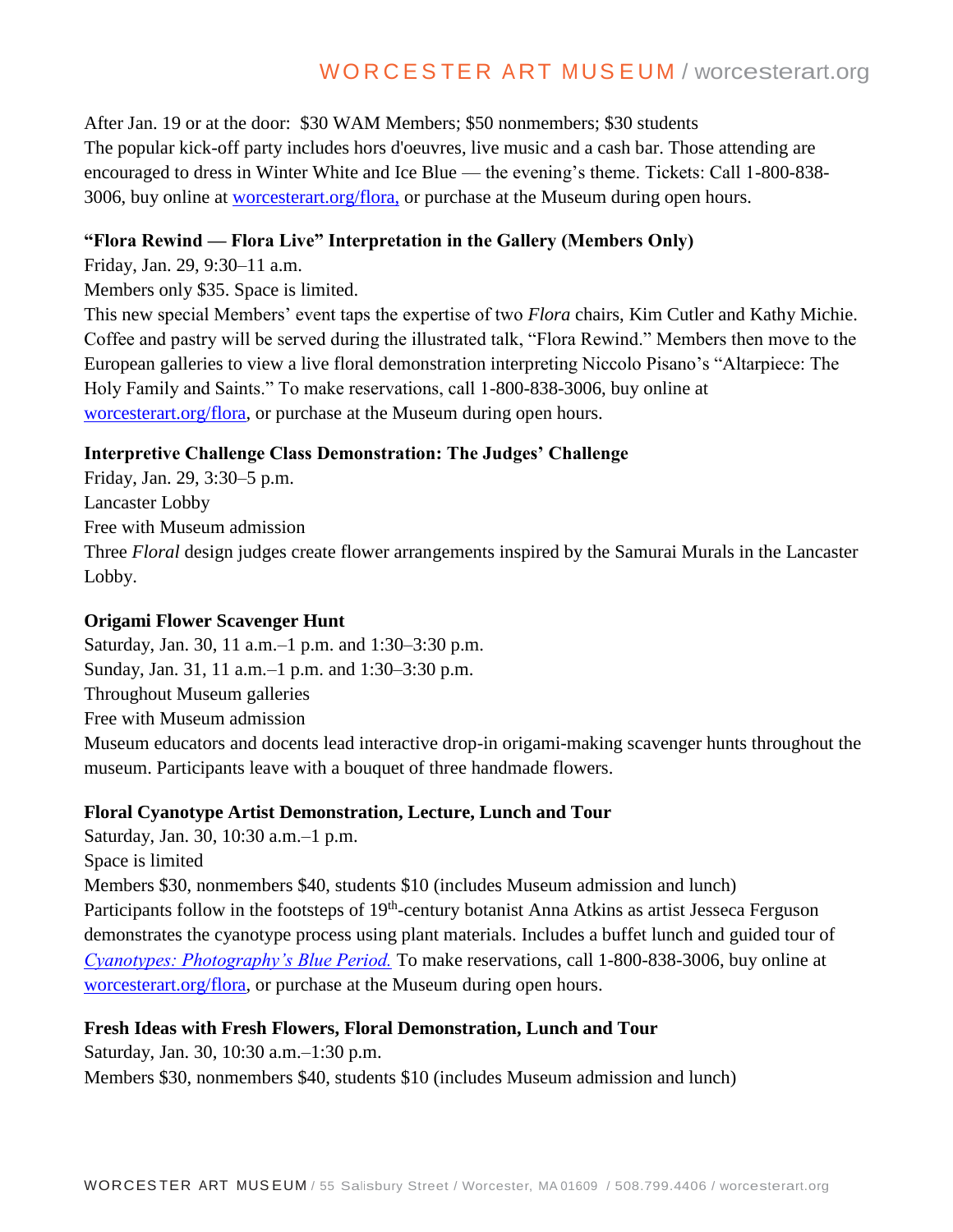# WORCESTER ART MUSEUM / worcesterart.org

After Jan. 19 or at the door: \$30 WAM Members; \$50 nonmembers; \$30 students The popular kick-off party includes hors d'oeuvres, live music and a cash bar. Those attending are encouraged to dress in Winter White and Ice Blue — the evening's theme. Tickets: Call 1-800-838- 3006, buy online at [worcesterart.org/flora,](http://www.worcesterart.org/events/Flora/flora-in-winter-2016/) or purchase at the Museum during open hours.

#### **"Flora Rewind — Flora Live" Interpretation in the Gallery (Members Only)**

Friday, Jan. 29, 9:30–11 a.m.

Members only \$35. Space is limited.

This new special Members' event taps the expertise of two *Flora* chairs, Kim Cutler and Kathy Michie. Coffee and pastry will be served during the illustrated talk, "Flora Rewind." Members then move to the European galleries to view a live floral demonstration interpreting Niccolo Pisano's "Altarpiece: The Holy Family and Saints." To make reservations, call 1-800-838-3006, buy online at [worcesterart.org/flora,](http://www.worcesterart.org/events/Flora/flora-in-winter-2016/) or purchase at the Museum during open hours.

#### **Interpretive Challenge Class Demonstration: The Judges' Challenge**

Friday, Jan. 29, 3:30–5 p.m. Lancaster Lobby Free with Museum admission Three *Floral* design judges create flower arrangements inspired by the Samurai Murals in the Lancaster Lobby.

#### **Origami Flower Scavenger Hunt**

Saturday, Jan. 30, 11 a.m.–1 p.m. and 1:30–3:30 p.m. Sunday, Jan. 31, 11 a.m.–1 p.m. and 1:30–3:30 p.m. Throughout Museum galleries Free with Museum admission Museum educators and docents lead interactive drop-in origami-making scavenger hunts throughout the museum. Participants leave with a bouquet of three handmade flowers.

#### **Floral Cyanotype Artist Demonstration, Lecture, Lunch and Tour**

Saturday, Jan. 30, 10:30 a.m.–1 p.m. Space is limited Members \$30, nonmembers \$40, students \$10 (includes Museum admission and lunch) Participants follow in the footsteps of 19<sup>th</sup>-century botanist Anna Atkins as artist Jesseca Ferguson demonstrates the cyanotype process using plant materials. Includes a buffet lunch and guided tour of *[Cyanotypes: Photography's Blue Period.](http://www.worcesterart.org/exhibitions/cyanotypes-photographys-blue-period/)* To make reservations, call 1-800-838-3006, buy online at [worcesterart.org/flora,](http://www.worcesterart.org/events/Flora/flora-in-winter-2016/) or purchase at the Museum during open hours.

### **Fresh Ideas with Fresh Flowers, Floral Demonstration, Lunch and Tour**

Saturday, Jan. 30, 10:30 a.m.–1:30 p.m.

Members \$30, nonmembers \$40, students \$10 (includes Museum admission and lunch)